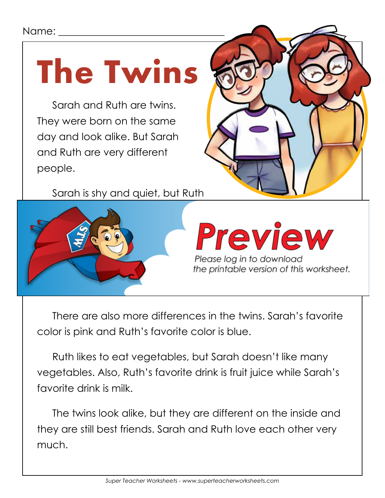## Name:

## **The Twins**

Sarah and Ruth are twins. They were born on the same day and look alike. But Sarah and Ruth are very different people.

Sarah is shy and quiet, but Ruth



## Preview

Please log in to download

There are also more differences in the twins. Sarah's favorite color is pink and Ruth's favorite color is blue.

Ruth likes to eat vegetables, but Sarah doesn't like many vegetables. Also, Ruth's favorite drink is fruit juice while Sarah's favorite drink is milk.

The twins look alike, but they are different on the inside and they are still best friends. Sarah and Ruth love each other very much.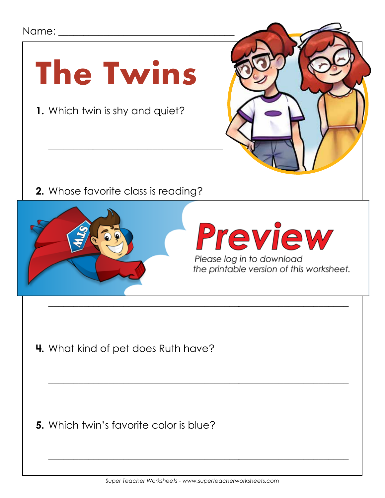## **1.** Which twin is shy and quiet? \_\_\_\_\_\_\_\_\_\_\_\_\_\_\_\_\_\_\_\_\_\_\_\_\_\_\_\_\_\_\_\_\_\_\_ **2.** Whose favorite class is reading? Name:  $\Box$ **The Twins**



\_\_\_\_\_\_\_\_\_\_\_\_\_\_\_\_\_\_\_\_\_\_\_\_\_\_\_\_\_\_\_\_\_\_\_\_\_\_\_\_\_\_\_\_\_\_\_\_\_\_\_\_\_\_\_\_\_\_\_\_

 $\overline{\phantom{a}}$  , and the contract of the contract of the contract of the contract of the contract of the contract of the contract of the contract of the contract of the contract of the contract of the contract of the contrac

**4.** What kind of pet does Ruth have?

**5.** Which twin's favorite color is blue?

 $\overline{\phantom{a}}$  , and the contract of the contract of the contract of the contract of the contract of the contract of the contract of the contract of the contract of the contract of the contract of the contract of the contrac